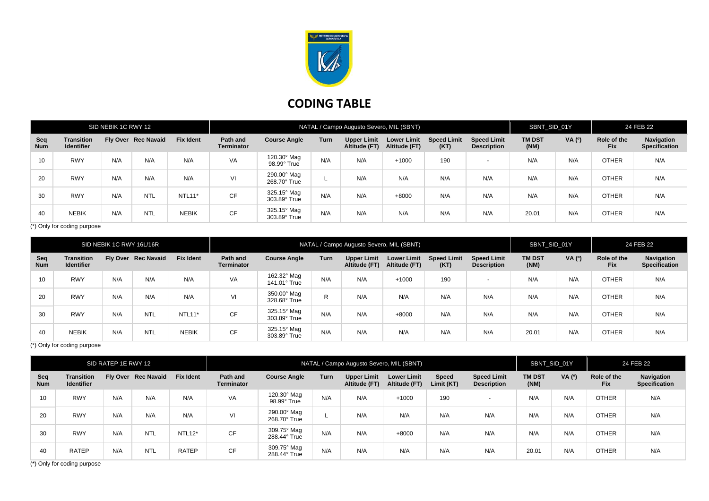

## **CODING TABLE**

| SID NEBIK 1C RWY 12 |                                        |     |                     |                  | NATAL / Campo Augusto Severo, MIL (SBNT) |                             |      |                                     |                                     |                            |                                          |                       | SBNT SID 01Y  |                           | 24 FEB 22                          |  |
|---------------------|----------------------------------------|-----|---------------------|------------------|------------------------------------------|-----------------------------|------|-------------------------------------|-------------------------------------|----------------------------|------------------------------------------|-----------------------|---------------|---------------------------|------------------------------------|--|
| Seq<br><b>Num</b>   | <b>Transition</b><br><b>Identifier</b> |     | Fly Over Rec Navaid | <b>Fix Ident</b> | Path and<br><b>Terminator</b>            | <b>Course Angle</b>         | Turn | <b>Upper Limit</b><br>Altitude (FT) | <b>Lower Limit</b><br>Altitude (FT) | <b>Speed Limit</b><br>(KT) | <b>Speed Limit</b><br><b>Description</b> | <b>TM DST</b><br>(NM) | <b>VA</b> (0) | Role of the<br><b>Fix</b> | Navigation<br><b>Specification</b> |  |
| 10                  | <b>RWY</b>                             | N/A | N/A                 | N/A              | VA                                       | 120.30° Mag<br>98.99° True  | N/A  | N/A                                 | $+1000$                             | 190                        | $\overline{\phantom{a}}$                 | N/A                   | N/A           | <b>OTHER</b>              | N/A                                |  |
| 20                  | <b>RWY</b>                             | N/A | N/A                 | N/A              | VI                                       | 290.00° Mag<br>268.70° True |      | N/A                                 | N/A                                 | N/A                        | N/A                                      | N/A                   | N/A           | <b>OTHER</b>              | N/A                                |  |
| 30                  | <b>RWY</b>                             | N/A | <b>NTL</b>          | <b>NTL11*</b>    | <b>CF</b>                                | 325.15° Mag<br>303.89° True | N/A  | N/A                                 | $+8000$                             | N/A                        | N/A                                      | N/A                   | N/A           | <b>OTHER</b>              | N/A                                |  |
| 40                  | <b>NEBIK</b>                           | N/A | <b>NTL</b>          | <b>NEBIK</b>     | <b>CF</b>                                | 325.15° Mag<br>303.89° True | N/A  | N/A                                 | N/A                                 | N/A                        | N/A                                      | 20.01                 | N/A           | <b>OTHER</b>              | N/A                                |  |

(\*) Only for coding purpose

| SID NEBIK 1C RWY 16L/16R |                                        |     |                     |                  | NATAL / Campo Augusto Severo, MIL (SBNT) |                             |      |                              |                                     |                            |                                          | SBNT_SID_01Y          |        | 24 FEB 22                 |                                    |
|--------------------------|----------------------------------------|-----|---------------------|------------------|------------------------------------------|-----------------------------|------|------------------------------|-------------------------------------|----------------------------|------------------------------------------|-----------------------|--------|---------------------------|------------------------------------|
| Seq<br><b>Num</b>        | <b>Transition</b><br><b>Identifier</b> |     | Fly Over Rec Navaid | <b>Fix Ident</b> | Path and<br><b>Terminator</b>            | <b>Course Angle</b>         | Turn | Upper Limit<br>Altitude (FT) | <b>Lower Limit</b><br>Altitude (FT) | <b>Speed Limit</b><br>(KT) | <b>Speed Limit</b><br><b>Description</b> | <b>TM DST</b><br>(NM) | VA (0) | Role of the<br><b>Fix</b> | Navigation<br><b>Specification</b> |
| 10                       | <b>RWY</b>                             | N/A | N/A                 | N/A              | VA                                       | 162.32° Mag<br>141.01° True | N/A  | N/A                          | $+1000$                             | 190                        | $\overline{\phantom{0}}$                 | N/A                   | N/A    | <b>OTHER</b>              | N/A                                |
| 20                       | <b>RWY</b>                             | N/A | N/A                 | N/A              | VI                                       | 350.00° Mag<br>328.68° True | R    | N/A                          | N/A                                 | N/A                        | N/A                                      | N/A                   | N/A    | <b>OTHER</b>              | N/A                                |
| 30                       | <b>RWY</b>                             | N/A | <b>NTL</b>          | NTL11*           | <b>CF</b>                                | 325.15° Mag<br>303.89° True | N/A  | N/A                          | +8000                               | N/A                        | N/A                                      | N/A                   | N/A    | <b>OTHER</b>              | N/A                                |
| 40                       | <b>NEBIK</b>                           | N/A | <b>NTL</b>          | <b>NEBIK</b>     | CF                                       | 325.15° Mag<br>303.89° True | N/A  | N/A                          | N/A                                 | N/A                        | N/A                                      | 20.01                 | N/A    | <b>OTHER</b>              | N/A                                |

(\*) Only for coding purpose

| SID RATEP 1E RWY 12 |                                        |     |                     |                  | NATAL / Campo Augusto Severo, MIL (SBNT) |                             |      |                              |                                     |                            |                                          |                       | SBNT SID 01Y |                           | 24 FEB 22                          |  |
|---------------------|----------------------------------------|-----|---------------------|------------------|------------------------------------------|-----------------------------|------|------------------------------|-------------------------------------|----------------------------|------------------------------------------|-----------------------|--------------|---------------------------|------------------------------------|--|
| Seq<br><b>Num</b>   | <b>Transition</b><br><b>Identifier</b> |     | Fly Over Rec Navaid | <b>Fix Ident</b> | Path and<br><b>Terminator</b>            | <b>Course Angle</b>         | Turn | Upper Limit<br>Altitude (FT) | <b>Lower Limit</b><br>Altitude (FT) | <b>Speed</b><br>Limit (KT) | <b>Speed Limit</b><br><b>Description</b> | <b>TM DST</b><br>(NM) | VA (°)       | Role of the<br><b>Fix</b> | Navigation<br><b>Specification</b> |  |
| 10                  | <b>RWY</b>                             | N/A | N/A                 | N/A              | VA                                       | 120.30° Mag<br>98.99° True  | N/A  | N/A                          | $+1000$                             | 190                        | $\overline{\phantom{a}}$                 | N/A                   | N/A          | <b>OTHER</b>              | N/A                                |  |
| 20                  | <b>RWY</b>                             | N/A | N/A                 | N/A              | VI                                       | 290.00° Mag<br>268.70° True |      | N/A                          | N/A                                 | N/A                        | N/A                                      | N/A                   | N/A          | <b>OTHER</b>              | N/A                                |  |
| 30                  | <b>RWY</b>                             | N/A | <b>NTL</b>          | $NTL12*$         | <b>CF</b>                                | 309.75° Mag<br>288.44° True | N/A  | N/A                          | $+8000$                             | N/A                        | N/A                                      | N/A                   | N/A          | <b>OTHER</b>              | N/A                                |  |
| 40                  | <b>RATEP</b>                           | N/A | <b>NTL</b>          | <b>RATEP</b>     | <b>CF</b>                                | 309.75° Mag<br>288.44° True | N/A  | N/A                          | N/A                                 | N/A                        | N/A                                      | 20.01                 | N/A          | <b>OTHER</b>              | N/A                                |  |

(\*) Only for coding purpose